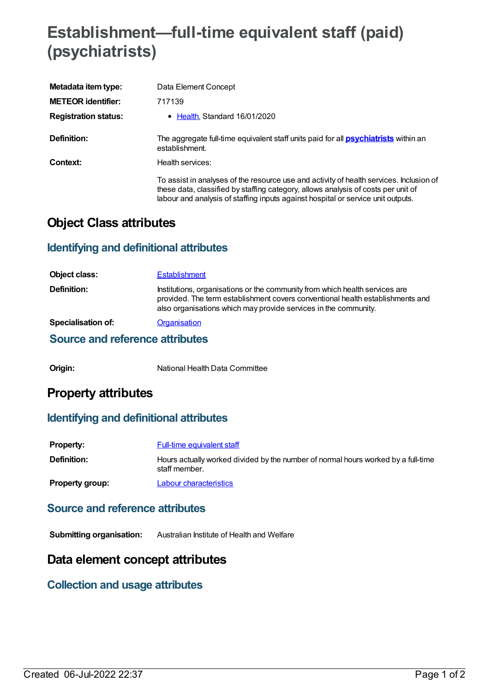# **Establishment—full-time equivalent staff (paid) (psychiatrists)**

| Metadata item type:         | Data Element Concept                                                                                                                                                                                                                                             |
|-----------------------------|------------------------------------------------------------------------------------------------------------------------------------------------------------------------------------------------------------------------------------------------------------------|
| <b>METEOR identifier:</b>   | 717139                                                                                                                                                                                                                                                           |
| <b>Registration status:</b> | • Health, Standard 16/01/2020                                                                                                                                                                                                                                    |
| Definition:                 | The aggregate full-time equivalent staff units paid for all <b>psychiatrists</b> within an<br>establishment.                                                                                                                                                     |
| Context:                    | Health services:                                                                                                                                                                                                                                                 |
|                             | To assist in analyses of the resource use and activity of health services. Inclusion of<br>these data, classified by staffing category, allows analysis of costs per unit of<br>labour and analysis of staffing inputs against hospital or service unit outputs. |

## **Object Class attributes**

## **Identifying and definitional attributes**

| Object class:                   | <b>Establishment</b>                                                                                                                                                                                                             |
|---------------------------------|----------------------------------------------------------------------------------------------------------------------------------------------------------------------------------------------------------------------------------|
| <b>Definition:</b>              | Institutions, organisations or the community from which health services are<br>provided. The term establishment covers conventional health establishments and<br>also organisations which may provide services in the community. |
| <b>Specialisation of:</b>       | Organisation                                                                                                                                                                                                                     |
| Source and reference attributes |                                                                                                                                                                                                                                  |

**Origin:** National Health Data Committee

# **Property attributes**

## **Identifying and definitional attributes**

| <b>Property:</b>       | Full-time equivalent staff                                                                         |
|------------------------|----------------------------------------------------------------------------------------------------|
| <b>Definition:</b>     | Hours actually worked divided by the number of normal hours worked by a full-time<br>staff member. |
| <b>Property group:</b> | Labour characteristics                                                                             |

#### **Source and reference attributes**

**Submitting organisation:** Australian Institute of Health and Welfare

# **Data element concept attributes**

## **Collection and usage attributes**